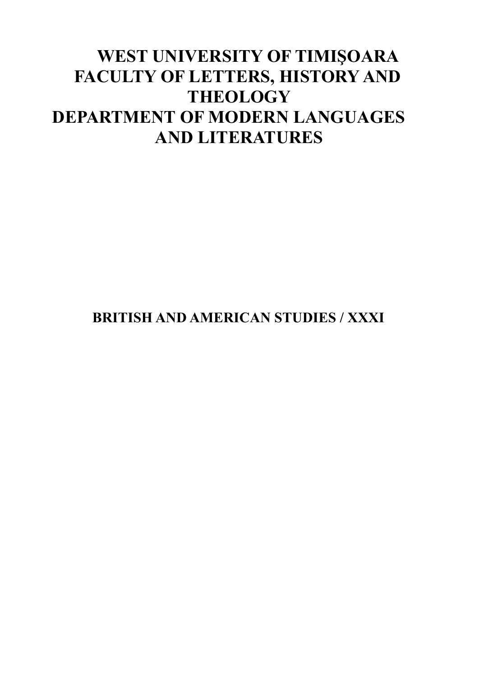# **WEST UNIVERSITY OF TIMIŞOARA FACULTY OF LETTERS, HISTORY AND THEOLOGY DEPARTMENT OF MODERN LANGUAGES AND LITERATURES**

**BRITISH AND AMERICAN STUDIES / XXXI**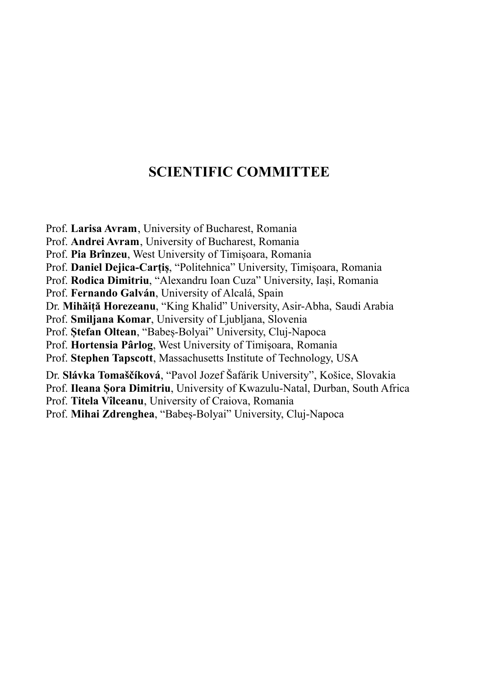# **SCIENTIFIC COMMITTEE**

Prof. **Larisa Avram**, University of Bucharest, Romania

Prof. **Andrei Avram**, University of Bucharest, Romania

Prof. **Pia Brînzeu**, West University of Timișoara, Romania

Prof. **Daniel Dejica-Carțiș**, "Politehnica" University, Timișoara, Romania

Prof. **Rodica Dimitriu**, "Alexandru Ioan Cuza" University, Iași, Romania

Prof. **Fernando Galván**, University of Alcalá, Spain

Dr. **Mihăiță Horezeanu**, "King Khalid" University, Asir-Abha, Saudi Arabia

Prof. **Smiljana Komar**, University of Ljubljana, Slovenia

Prof. **Ștefan Oltean**, "Babeș-Bolyai" University, Cluj-Napoca

Prof. **Hortensia Pârlog**, West University of Timișoara, Romania

Prof. **Stephen Tapscott**, Massachusetts Institute of Technology, USA

Dr. **Slávka Tomaščíková**, "Pavol Jozef Šafárik University", Košice, Slovakia

Prof. **Ileana Șora Dimitriu**, University of Kwazulu-Natal, Durban, South Africa

Prof. **Titela Vîlceanu**, University of Craiova, Romania

Prof. **Mihai Zdrenghea**, "Babeș-Bolyai" University, Cluj-Napoca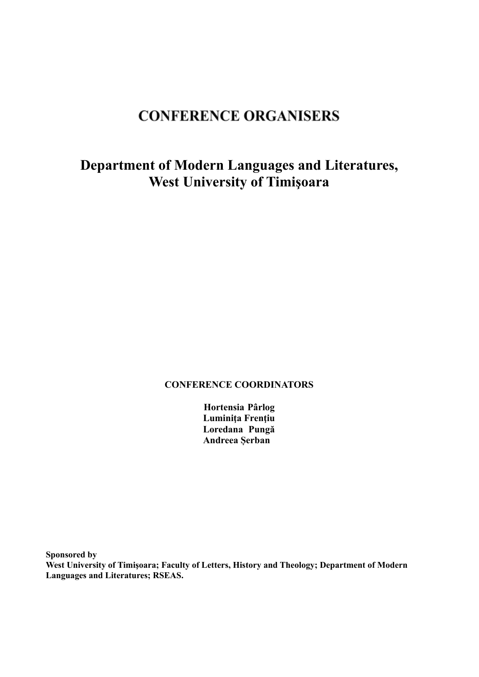# **CONFERENCE ORGANISERS**

# **Department of Modern Languages and Literatures, West University of Timişoara**

## **CONFERENCE COORDINATORS**

**Hortensia Pârlog Luminiţa Frenţiu Loredana Pungă Andreea Șerban**

**Sponsored by West University of Timişoara; Faculty of Letters, History and Theology; Department of Modern Languages and Literatures; RSEAS.**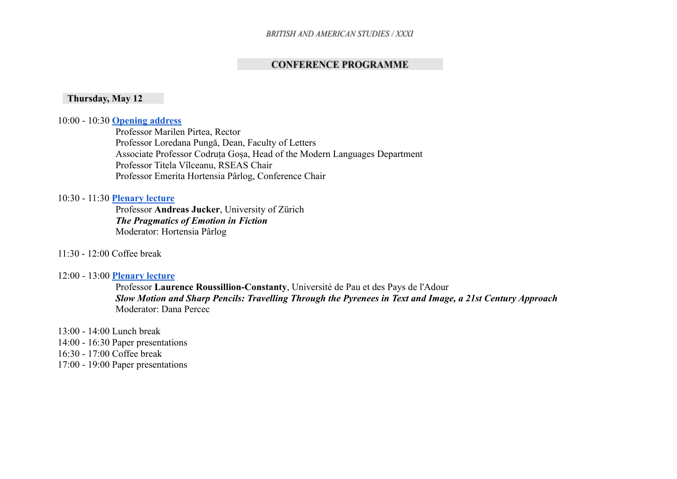# **CONFERENCE PROGRAMME**

### **Thursday, May 12**

#### 10:00 - 10:30 **[Opening address](https://meet.google.com/sgw-mybj-mbm)**

Professor Marilen Pirtea, Rector Professor Loredana Pungă, Dean, Faculty of Letters Associate Professor Codruța Goșa, Head of the Modern Languages Department Professor Titela Vîlceanu, RSEAS Chair Professor Emerita Hortensia Pârlog, Conference Chair

### 10:30 - 11:30 **[Plenary lecture](https://meet.google.com/sgw-mybj-mbm)**

Professor **Andreas Jucker**, University of Zürich *The Pragmatics of Emotion in Fiction* Moderator: Hortensia Pârlog

### 11:30 - 12:00 Coffee break

#### 12:00 - 13:00 **[Plenary lecture](https://meet.google.com/sgw-mybj-mbm)**

Professor **Laurence Roussillion-Constanty**, Université de Pau et des Pays de l'Adour *Slow Motion and Sharp Pencils: Travelling Through the Pyrenees in Text and Image, a 21st Century Approach* Moderator: Dana Percec

13:00 - 14:00 Lunch break 14:00 - 16:30 Paper presentations 16:30 - 17:00 Coffee break 17:00 - 19:00 Paper presentations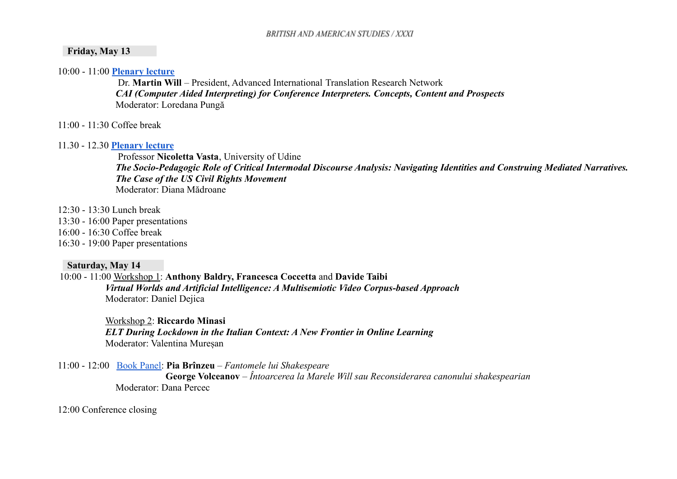### **Friday, May 13**

10:00 - 11:00 **[Plenary lecture](https://meet.google.com/ykv-dtcn-nzz)**

Dr. **Martin Will** – President, Advanced International Translation Research Network *CAI (Computer Aided Interpreting) for Conference Interpreters. Concepts, Content and Prospects* Moderator: Loredana Pungă

11:00 - 11:30 Coffee break

### 11.30 - 12.30 **[Plenary lecture](https://meet.google.com/ykv-dtcn-nzz)**

Professor **Nicoletta Vasta**, University of Udine *The Socio-Pedagogic Role of Critical Intermodal Discourse Analysis: Navigating Identities and Construing Mediated Narratives. The Case of the US Civil Rights Movement* Moderator: Diana Mădroane

12:30 - 13:30 Lunch break 13:30 - 16:00 Paper presentations 16:00 - 16:30 Coffee break 16:30 - 19:00 Paper presentations

## **Saturday, May 14**

10:00 - 11:00 Workshop 1: **Anthony Baldry, Francesca Coccetta** and **Davide Taibi** *Virtual Worlds and Artificial Intelligence: A Multisemiotic Video Corpus-based Approach* Moderator: Daniel Dejica

> Workshop 2: **Riccardo Minasi** *ELT During Lockdown in the Italian Context: A New Frontier in Online Learning* Moderator: Valentina Mureșan

11:00 - 12:00 [Book Panel:](https://meet.google.com/fcc-ngbn-rec) **Pia Brînzeu** – *Fantomele lui Shakespeare* **George Volceanov** – *Întoarcerea la Marele Will sau Reconsiderarea canonului shakespearian* Moderator: Dana Percec

12:00 Conference closing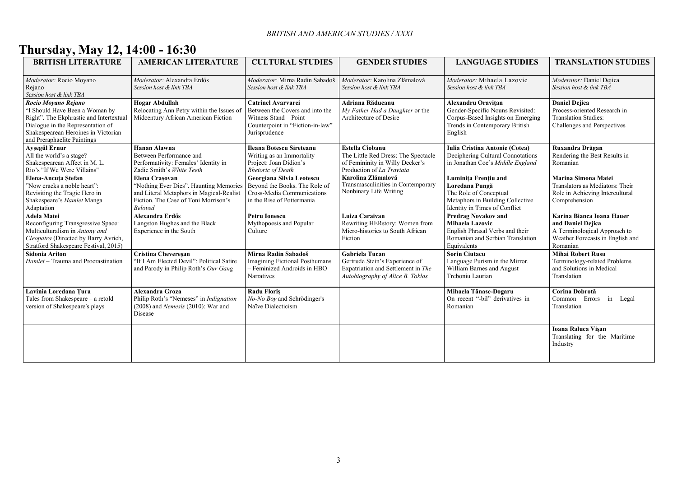# **Thursday, May 12, 14:00 - 16:30**

| <b>BRITISH LITERATURE</b>                                                                                                                                                                                   | <b>AMERICAN LITERATURE</b>                                                                                                                                            | <b>CULTURAL STUDIES</b>                                                                                                                    | <b>GENDER STUDIES</b>                                                                                                             | <b>LANGUAGE STUDIES</b>                                                                                                                  | <b>TRANSLATION STUDIES</b>                                                                                                     |
|-------------------------------------------------------------------------------------------------------------------------------------------------------------------------------------------------------------|-----------------------------------------------------------------------------------------------------------------------------------------------------------------------|--------------------------------------------------------------------------------------------------------------------------------------------|-----------------------------------------------------------------------------------------------------------------------------------|------------------------------------------------------------------------------------------------------------------------------------------|--------------------------------------------------------------------------------------------------------------------------------|
| Moderator: Rocio Moyano<br>Rejano<br>Session host & link TBA                                                                                                                                                | Moderator: Alexandra Erdős<br>Session host & link TBA                                                                                                                 | Moderator: Mirna Radin Sabadoš<br>Session host & link TBA                                                                                  | Moderator: Karolina Zlámalová<br>Session host & link TBA                                                                          | Moderator: Mihaela Lazovic<br>Session host & link TBA                                                                                    | Moderator: Daniel Dejica<br>Session host & link TBA                                                                            |
| Rocio Moyano Rejano<br>"I Should Have Been a Woman by<br>Right". The Ekphrastic and Intertextual<br>Dialogue in the Representation of<br>Shakespearean Heroines in Victorian<br>and Preraphaelite Paintings | <b>Hogar Abdullah</b><br>Relocating Ann Petry within the Issues of<br>Midcentury African American Fiction                                                             | <b>Catrinel Avarvarei</b><br>Between the Covers and into the<br>Witness Stand - Point<br>Counterpoint in "Fiction-in-law"<br>Jurisprudence | Adriana Răducanu<br>My Father Had a Daughter or the<br>Architecture of Desire                                                     | Alexandru Oravițan<br>Gender-Specific Nouns Revisited:<br>Corpus-Based Insights on Emerging<br>Trends in Contemporary British<br>English | <b>Daniel Dejica</b><br>Process-oriented Research in<br><b>Translation Studies:</b><br>Challenges and Perspectives             |
| Ayşegül Ernur<br>All the world's a stage?<br>Shakespearean Affect in M. L.<br>Rio's "If We Were Villains"                                                                                                   | <b>Hanan Alawna</b><br>Between Performance and<br>Performativity: Females' Identity in<br>Zadie Smith's White Teeth                                                   | Ileana Botescu Sireteanu<br>Writing as an Immortality<br>Project: Joan Didion's<br>Rhetoric of Death                                       | <b>Estella Ciobanu</b><br>The Little Red Dress: The Spectacle<br>of Femininity in Willy Decker's<br>Production of La Traviata     | <b>Iulia Cristina Antonie (Cotea)</b><br>Deciphering Cultural Connotations<br>in Jonathan Coe's Middle England                           | Ruxandra Drăgan<br>Rendering the Best Results in<br>Romanian                                                                   |
| Elena-Ancuta Stefan<br>"Now cracks a noble heart":<br>Revisiting the Tragic Hero in<br>Shakespeare's Hamlet Manga<br>Adaptation                                                                             | <b>Elena Crasovan</b><br>"Nothing Ever Dies". Haunting Memories<br>and Literal Metaphors in Magical-Realist<br>Fiction. The Case of Toni Morrison's<br><b>Beloved</b> | Georgiana Silvia Leotescu<br>Beyond the Books. The Role of<br>Cross-Media Communications<br>in the Rise of Pottermania                     | Karolina Zlámalová<br>Transmasculinities in Contemporary<br>Nonbinary Life Writing                                                | Luminița Frențiu and<br>Loredana Pungă<br>The Role of Conceptual<br>Metaphors in Building Collective<br>Identity in Times of Conflict    | Marina Simona Matei<br>Translators as Mediators: Their<br>Role in Achieving Intercultural<br>Comprehension                     |
| <b>Adela Matei</b><br>Reconfiguring Transgressive Space:<br>Multiculturalism in Antony and<br>Cleopatra (Directed by Barry Avrich,<br>Stratford Shakespeare Festival, 2015)                                 | Alexandra Erdős<br>Langston Hughes and the Black<br>Experience in the South                                                                                           | Petru Ionescu<br>Mythopoesis and Popular<br>Culture                                                                                        | Luiza Caraivan<br>Rewriting HERstory: Women from<br>Micro-histories to South African<br>Fiction                                   | <b>Predrag Novakov and</b><br>Mihaela Lazovic<br>English Phrasal Verbs and their<br>Romanian and Serbian Translation<br>Equivalents      | Karina Bianca Ioana Hauer<br>and Daniel Dejica<br>A Terminological Approach to<br>Weather Forecasts in English and<br>Romanian |
| <b>Sidonia Ariton</b><br>Hamlet - Trauma and Procrastination                                                                                                                                                | <b>Cristina Cheveresan</b><br>"If I Am Elected Devil": Political Satire<br>and Parody in Philip Roth's Our Gang                                                       | Mirna Radin Sabadoš<br>Imagining Fictional Posthumans<br>- Feminized Androids in HBO<br>Narratives                                         | <b>Gabriela Tucan</b><br>Gertrude Stein's Experience of<br>Expatriation and Settlement in The<br>Autobiography of Alice B. Toklas | <b>Sorin Ciutacu</b><br>Language Purism in the Mirror.<br>William Barnes and August<br>Treboniu Laurian                                  | <b>Mihai Robert Rusu</b><br>Terminology-related Problems<br>and Solutions in Medical<br>Translation                            |
| Lavinia Loredana Tura<br>Tales from Shakespeare - a retold<br>version of Shakespeare's plays                                                                                                                | <b>Alexandra Groza</b><br>Philip Roth's "Nemeses" in Indignation<br>$(2008)$ and Nemesis $(2010)$ : War and<br>Disease                                                | <b>Radu Floris</b><br>No-No Boy and Schrödinger's<br>Naïve Dialecticism                                                                    |                                                                                                                                   | Mihaela Tănase-Dogaru<br>On recent "-bil" derivatives in<br>Romanian                                                                     | Corina Dobrotă<br>Common Errors in Legal<br>Translation                                                                        |
|                                                                                                                                                                                                             |                                                                                                                                                                       |                                                                                                                                            |                                                                                                                                   |                                                                                                                                          | <b>Ioana Raluca Visan</b><br>Translating for the Maritime<br>Industry                                                          |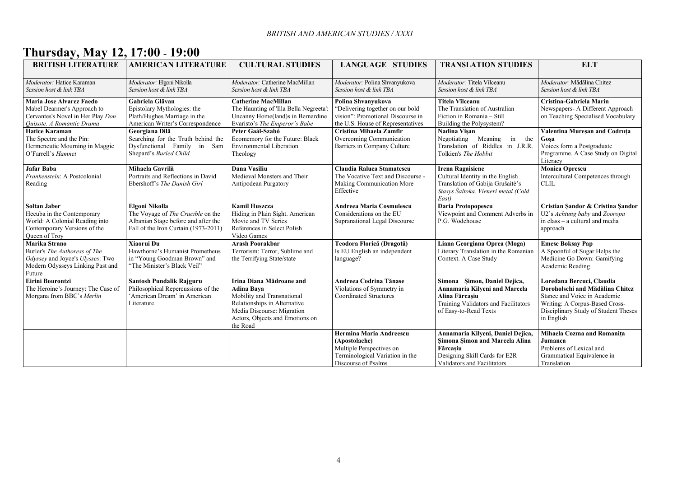# **Thursday, May 12, 17:00 - 19:00**

| <b>BRITISH LITERATURE</b>                                                                                                            | <b>AMERICAN LITERATURE</b>                                                                                                         | <b>CULTURAL STUDIES</b>                                                                                                                                                                  | <b>LANGUAGE STUDIES</b>                                                                                                          | <b>TRANSLATION STUDIES</b>                                                                                                                       | <b>ELT</b>                                                                                                                                                                           |
|--------------------------------------------------------------------------------------------------------------------------------------|------------------------------------------------------------------------------------------------------------------------------------|------------------------------------------------------------------------------------------------------------------------------------------------------------------------------------------|----------------------------------------------------------------------------------------------------------------------------------|--------------------------------------------------------------------------------------------------------------------------------------------------|--------------------------------------------------------------------------------------------------------------------------------------------------------------------------------------|
| Moderator: Hatice Karaman<br>Session host & link TBA                                                                                 | Moderator: Elgoni Nikolla<br>Session host & link TBA                                                                               | Moderator: Catherine MacMillan<br>Session host & link TBA                                                                                                                                | Moderator: Polina Shvanyukova<br>Session host & link TBA                                                                         | Moderator: Titela Vîlceanu<br>Session host & link TBA                                                                                            | Moderator: Mădălina Chitez<br>Session host & link TBA                                                                                                                                |
| Maria Jose Alvarez Faedo<br>Mabel Dearmer's Approach to<br>Cervantes's Novel in Her Play Don<br>Ouixote. A Romantic Drama            | Gabriela Glăvan<br>Epistolary Mythologies: the<br>Plath/Hughes Marriage in the<br>American Writer's Correspondence                 | <b>Catherine MacMillan</b><br>The Haunting of 'Illa Bella Negreeta':<br>Uncanny Home(land)s in Bernardine<br>Evaristo's The Emperor's Babe                                               | Polina Shvanyukova<br>"Delivering together on our bold<br>vision": Promotional Discourse in<br>the U.S. House of Representatives | Titela Vîlceanu<br>The Translation of Australian<br>Fiction in Romania - Still<br>Building the Polysystem?                                       | Cristina-Gabriela Marin<br>Newspapers- A Different Approach<br>on Teaching Specialised Vocabulary                                                                                    |
| <b>Hatice Karaman</b><br>The Spectre and the Pin:<br>Hermeneutic Mourning in Maggie<br>O'Farrell's Hamnet                            | Georgiana Dilă<br>Searching for the Truth behind the<br>Dysfunctional Family in Sam<br>Shepard's Buried Child                      | Peter Gaál-Szabó<br>Ecomemory for the Future: Black<br><b>Environmental Liberation</b><br>Theology                                                                                       | Cristina Mihaela Zamfir<br>Overcoming Communication<br>Barriers in Company Culture                                               | Nadina Visan<br>in the<br>Negotiating Meaning<br>Translation of Riddles in J.R.R.<br>Tolkien's The Hobbit                                        | Valentina Mureșan and Codruța<br>Gosa<br>Voices form a Postgraduate<br>Programme. A Case Study on Digital<br>Literacy                                                                |
| Jafar Baba<br>Frankenstein: A Postcolonial<br>Reading                                                                                | Mihaela Gavrilă<br>Portraits and Reflections in David<br>Ebershoff's The Danish Girl                                               | Dana Vasiliu<br>Medieval Monsters and Their<br>Antipodean Purgatory                                                                                                                      | Claudia Raluca Stamatescu<br>The Vocative Text and Discourse -<br>Making Communication More<br>Effective                         | <b>Irena Ragaisiene</b><br>Cultural Identity in the English<br>Translation of Gabija Grušaitė's<br>Stasys Šaltoka. Vieneri metai (Cold<br>East)  | <b>Monica Oprescu</b><br>Intercultural Competences through<br><b>CLIL</b>                                                                                                            |
| <b>Soltan Jaber</b><br>Hecuba in the Contemporary<br>World: A Colonial Reading into<br>Contemporary Versions of the<br>Queen of Troy | Elgoni Nikolla<br>The Voyage of The Crucible on the<br>Albanian Stage before and after the<br>Fall of the Iron Curtain (1973-2011) | <b>Kamil Huszcza</b><br>Hiding in Plain Sight. American<br>Movie and TV Series<br>References in Select Polish<br>Video Games                                                             | <b>Andreea Maria Cosmulescu</b><br>Considerations on the EU<br>Supranational Legal Discourse                                     | Daria Protopopescu<br>Viewpoint and Comment Adverbs in<br>P.G. Wodehouse                                                                         | Cristian Sandor & Cristina Sandor<br>U2's Achtung baby and Zooropa<br>in class – a cultural and media<br>approach                                                                    |
| Marika Strano<br>Butler's The Authoress of The<br>Odyssey and Joyce's Ulysses: Two<br>Modern Odysseys Linking Past and<br>Future     | Xiaorui Du<br>Hawthorne's Humanist Prometheus<br>in "Young Goodman Brown" and<br>"The Minister's Black Veil"                       | <b>Arash Poorakbar</b><br>Terrorism: Terror, Sublime and<br>the Terrifying State/state                                                                                                   | Teodora Florică (Dragotă)<br>Is EU English an independent<br>language?                                                           | Liana Georgiana Oprea (Moga)<br>Literary Translation in the Romanian<br>Context. A Case Study                                                    | <b>Emese Boksay Pap</b><br>A Spoonful of Sugar Helps the<br>Medicine Go Down: Gamifying<br>Academic Reading                                                                          |
| Eirini Bourontzi<br>The Heroine's Journey: The Case of<br>Morgana from BBC's Merlin                                                  | Santosh Pundalik Rajguru<br>Philosophical Repercussions of the<br>'American Dream' in American<br>Literature                       | Irina Diana Mădroane and<br><b>Adina Bava</b><br>Mobility and Transnational<br>Relationships in Alternative<br>Media Discourse: Migration<br>Actors, Objects and Emotions on<br>the Road | <b>Andreea Codrina Tănase</b><br>Violations of Symmetry in<br><b>Coordinated Structures</b>                                      | Simona Şimon, Daniel Dejica,<br>Annamaria Kilyeni and Marcela<br>Alina Fărcasiu<br>Training Validators and Facilitators<br>of Easy-to-Read Texts | Loredana Bercuci, Claudia<br>Doroholschi and Mădălina Chitez<br>Stance and Voice in Academic<br>Writing: A Corpus-Based Cross-<br>Disciplinary Study of Student Theses<br>in English |
|                                                                                                                                      |                                                                                                                                    |                                                                                                                                                                                          | Hermina Maria Andreescu<br>(Apostolache)<br>Multiple Perspectives on<br>Terminological Variation in the<br>Discourse of Psalms   | Annamaria Kilveni, Daniel Dejica,<br>Şimona Şimon and Marcela Alina<br>Fărcasiu<br>Designing Skill Cards for E2R<br>Validators and Facilitators  | Mihaela Cozma and Romanița<br>Jumanca<br>Problems of Lexical and<br>Grammatical Equivalence in<br>Translation                                                                        |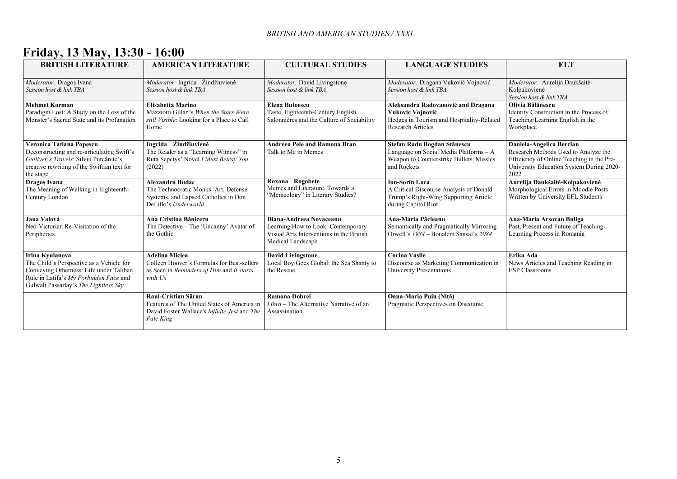# **Friday, 13 May, 13:30 - 16:00**

| <b>BRITISH LITERATURE</b>                                                                                                                                                                 | <b>AMERICAN LITERATURE</b>                                                                                                                    | <b>CULTURAL STUDIES</b>                                                                                                        | <b>LANGUAGE STUDIES</b>                                                                                                          | <b>ELT</b>                                                                                                                                                        |
|-------------------------------------------------------------------------------------------------------------------------------------------------------------------------------------------|-----------------------------------------------------------------------------------------------------------------------------------------------|--------------------------------------------------------------------------------------------------------------------------------|----------------------------------------------------------------------------------------------------------------------------------|-------------------------------------------------------------------------------------------------------------------------------------------------------------------|
| Moderator: Dragos Ivana<br>Session host & link TBA                                                                                                                                        | Moderator: Ingrida Žindžiuvienė<br>Session host & link TBA                                                                                    | Moderator: David Livingstone<br>Session host & link TBA                                                                        | Moderator: Dragana Vuković Vojnović<br>Session host & link TBA                                                                   | Moderator: Aurelija Daukšaitė-<br>Kolpakovienė<br>Session host & link TBA                                                                                         |
| <b>Mehmet Korman</b><br>Paradigm Lost: A Study on the Loss of the<br>Monster's Sacred State and its Profanation                                                                           | <b>Elisabetta Marino</b><br>Mazziotti Gillan's When the Stars Were<br>still Visible: Looking for a Place to Call<br>Home                      | <b>Elena Butoescu</b><br>Taste, Eighteenth-Century English<br>Salonnières and the Culture of Sociability                       | Aleksandra Radovanović and Dragana<br>Vukovic Vojnović<br>Hedges in Tourism and Hospitality-Related<br><b>Research Articles</b>  | Olivia Bălănescu<br>Identity Construction in the Process of<br>Teaching/Learning English in the<br>Workplace                                                      |
| Veronica Tatiana Popescu<br>Deconstructing and re-articulating Swift's<br>Gulliver's Travels: Silviu Purcărete's<br>creative rewriting of the Swiftian text for<br>the stage              | Ingrida Žindžiuvienė<br>The Reader as a "Learning Witness" in<br>Ruta Sepetys' Novel <i>I Must Betray You</i><br>(2022)                       | <b>Andreea Pele and Ramona Bran</b><br>Talk to Me in Memes                                                                     | Ștefan Radu Bogdan Stănescu<br>Language on Social Media Platforms - A<br>Weapon to Counterstrike Bullets, Missles<br>and Rockets | Daniela-Angelica Bercian<br>Research Methods Used to Analyze the<br>Efficiency of Online Teaching in the Pre-<br>University Education System During 2020-<br>2022 |
| Dragos Ivana<br>The Meaning of Walking in Eighteenth-<br>Century London                                                                                                                   | <b>Alexandru Budac</b><br>The Technocratic Monks: Art, Defense<br>Systems, and Lapsed Catholics in Don<br>DeLillo's Underworld                | Roxana Rogobete<br>Memes and Literature. Towards a<br>"Memeology" in Literary Studies?                                         | <b>Ion-Sorin Luca</b><br>A Critical Discourse Analysis of Donald<br>Trump's Right-Wing Supporting Article<br>during Capitol Riot | Aurelija Daukšaitė-Kolpakovienė<br>Morphological Errors in Moodle Posts<br>Written by University EFL Students                                                     |
| Jana Valová<br>Neo-Victorian Re-Visitation of the<br>Peripheries                                                                                                                          | Ana Cristina Băniceru<br>The Detective – The 'Uncanny' Avatar of<br>the Gothic                                                                | Diana-Andreea Novaceanu<br>Learning How to Look: Contemporary<br>Visual Arts Interventions in the British<br>Medical Landscape | Ana-Maria Păcleanu<br>Semantically and Pragmatically Mirroring<br>Orwell's 1984 – Boualem Sansal's 2084                          | Ana-Maria Arşovan Buliga<br>Past, Present and Future of Teaching-<br>Learning Process in Romania                                                                  |
| Irina Kyulanova<br>The Child's Perspective as a Vehicle for<br>Conveying Otherness: Life under Taliban<br>Rule in Latifa's My Forbidden Face and<br>Gulwali Passarlay's The Lightless Sky | <b>Adelina Miclea</b><br>Colleen Hoover's Formulas for Best-sellers<br>as Seen in Reminders of Him and It starts<br>with Us                   | <b>David Livingstone</b><br>Local Boy Goes Global: the Sea Shanty to<br>the Rescue                                             | <b>Corina Vasile</b><br>Discourse as Marketing Communication in<br><b>University Presentations</b>                               | Erika Ada<br>News Articles and Teaching Reading in<br><b>ESP Classrooms</b>                                                                                       |
|                                                                                                                                                                                           | Raul-Cristian Săran<br>Features of The United States of America in<br>David Foster Wallace's <i>Infinite Jest</i> and <i>The</i><br>Pale King | <b>Ramona Dobrei</b><br>Libra – The Alternative Narrative of an<br>Assassination                                               | Oana-Maria Puiu (Niță)<br>Pragmatic Perspectives on Discourse                                                                    |                                                                                                                                                                   |